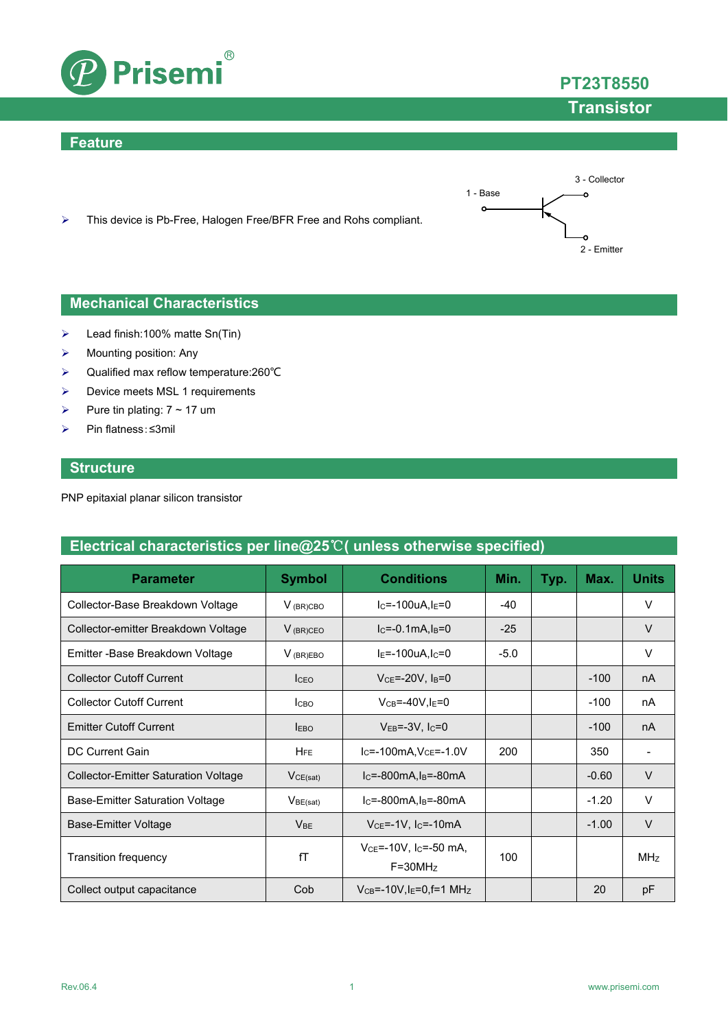

### **Feature**





**PT23T8550**

**Transistor**

### **Mechanical Characteristics**

- $\blacktriangleright$  Lead finish:100% matte Sn(Tin)
- $\triangleright$  Mounting position: Any
- Qualified max reflow temperature:260℃
- $\triangleright$  Device meets MSL 1 requirements
- Pure tin plating:  $7 \sim 17$  um
- Pin flatness:≤3mil

### **Structure**

PNP epitaxial planar silicon transistor

## **Electrical characteristics per line@25**℃**( unless otherwise specified)**

| <b>Parameter</b>                            | <b>Symbol</b>   | <b>Conditions</b>                                           | Min.   | Typ. | Max.    | <b>Units</b> |
|---------------------------------------------|-----------------|-------------------------------------------------------------|--------|------|---------|--------------|
| Collector-Base Breakdown Voltage            | $V_{(BR)CBO}$   | $I_c = -100uA I_E = 0$                                      | -40    |      |         | V            |
| Collector-emitter Breakdown Voltage         | $V_{(BR)CEO}$   | $lc = -0.1mA, l_B = 0$                                      | $-25$  |      |         | $\vee$       |
| Emitter - Base Breakdown Voltage            | $V_{(BR)EBO}$   | $I_E = -100uA, I_C = 0$                                     | $-5.0$ |      |         | V            |
| <b>Collector Cutoff Current</b>             | <b>ICEO</b>     | $VCE=-20V$ , $IB=0$                                         |        |      | $-100$  | nA           |
| <b>Collector Cutoff Current</b>             | Ісво            | $V_{CB} = -40V$ , $I_E = 0$                                 |        |      | $-100$  | nA           |
| <b>Emitter Cutoff Current</b>               | <b>LEBO</b>     | $V_{EB} = -3V$ , $I_C = 0$                                  |        |      | $-100$  | nA           |
| DC Current Gain                             | <b>HFE</b>      | $IC=-100mA, VCE=-1.0V$                                      | 200    |      | 350     |              |
| <b>Collector-Emitter Saturation Voltage</b> | VCE(sat)        | $IC=-800mA, IB=-80mA$                                       |        |      | $-0.60$ | $\vee$       |
| <b>Base-Emitter Saturation Voltage</b>      | $V_{BE(sat)}$   | $IC=-800mA, IB=-80mA$                                       |        |      | $-1.20$ | $\vee$       |
| <b>Base-Emitter Voltage</b>                 | V <sub>BE</sub> | $VCE=-1V$ , I <sub>C</sub> =-10mA                           |        |      | $-1.00$ | $\vee$       |
| Transition frequency                        | fT              | $V_{CE} = -10V$ , I <sub>C</sub> $= -50$ mA,<br>$F = 30MHz$ | 100    |      |         | MHz          |
| Collect output capacitance                  | Cob             | $V_{CB} = -10V$ , $I_E = 0$ , f=1 MHz                       |        |      | 20      | pF           |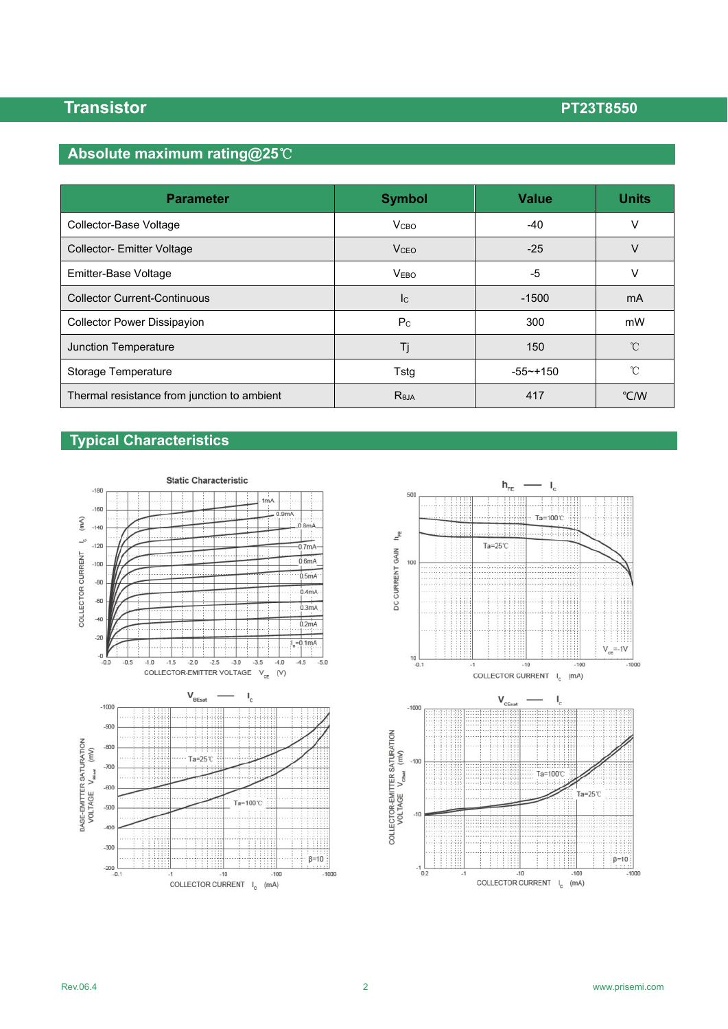## **Absolute maximum rating@25**℃

| <b>Parameter</b>                            | <b>Symbol</b>           | <b>Value</b>  | <b>Units</b>  |
|---------------------------------------------|-------------------------|---------------|---------------|
| Collector-Base Voltage                      | <b>V</b> <sub>CВО</sub> | $-40$         | v             |
| <b>Collector-Emitter Voltage</b>            | V <sub>CEO</sub>        | $-25$         | $\vee$        |
| Emitter-Base Voltage                        | <b>VEBO</b>             | -5            | v             |
| <b>Collector Current-Continuous</b>         | <b>I</b> c              | $-1500$       | mA            |
| <b>Collector Power Dissipayion</b>          | P <sub>C</sub>          | 300           | mW            |
| Junction Temperature                        | Τj                      | 150           | °C            |
| Storage Temperature                         | Tstg                    | $-55 - + 150$ | °C            |
| Thermal resistance from junction to ambient | Reja                    | 417           | $\degree$ C/W |

# **Typical Characteristics**





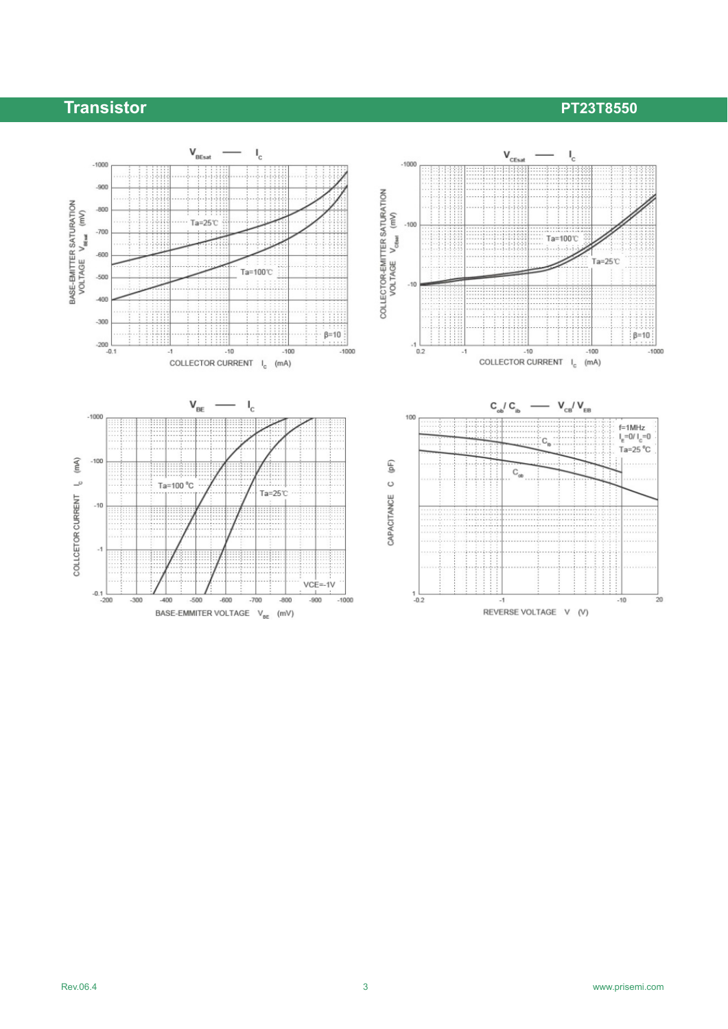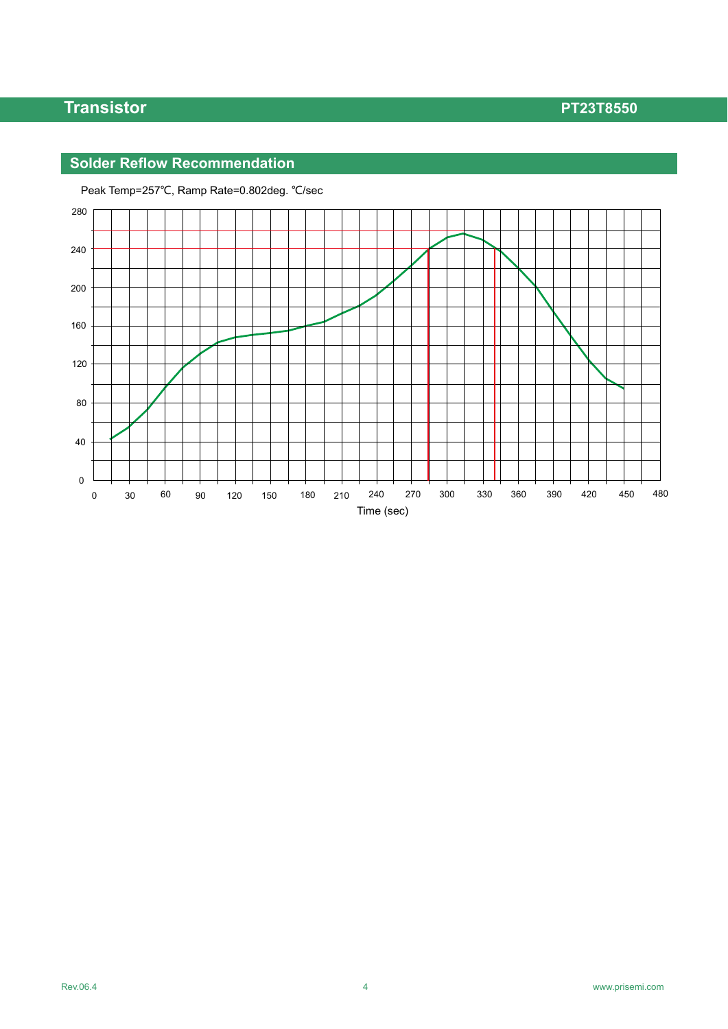## **Solder Reflow Recommendation**



Peak Temp=257℃, Ramp Rate=0.802deg. ℃/sec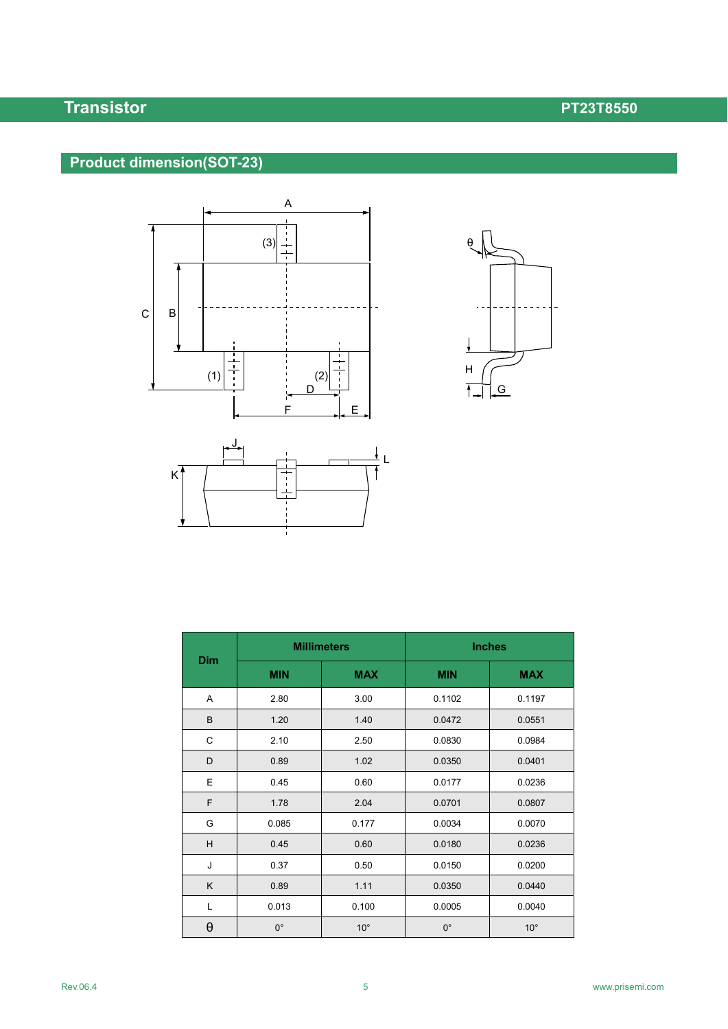# **Product dimension(SOT-23)**







|            |             | <b>Millimeters</b> | <b>Inches</b> |              |  |
|------------|-------------|--------------------|---------------|--------------|--|
| <b>Dim</b> | <b>MIN</b>  | <b>MAX</b>         | <b>MIN</b>    | <b>MAX</b>   |  |
| Α          | 2.80        | 3.00               | 0.1102        | 0.1197       |  |
| B          | 1.20        | 1.40               | 0.0472        | 0.0551       |  |
| C          | 2.10        | 2.50               | 0.0830        | 0.0984       |  |
| D          | 0.89        | 1.02               | 0.0350        | 0.0401       |  |
| E          | 0.45        | 0.60               | 0.0177        | 0.0236       |  |
| F          | 1.78        | 2.04               | 0.0701        | 0.0807       |  |
| G          | 0.085       | 0.177              | 0.0034        | 0.0070       |  |
| H          | 0.45        | 0.60               | 0.0180        | 0.0236       |  |
| J          | 0.37        | 0.50               | 0.0150        | 0.0200       |  |
| K          | 0.89        | 1.11               | 0.0350        | 0.0440       |  |
| L          | 0.013       | 0.100              | 0.0005        | 0.0040       |  |
| θ          | $0^{\circ}$ | $10^{\circ}$       | $0^{\circ}$   | $10^{\circ}$ |  |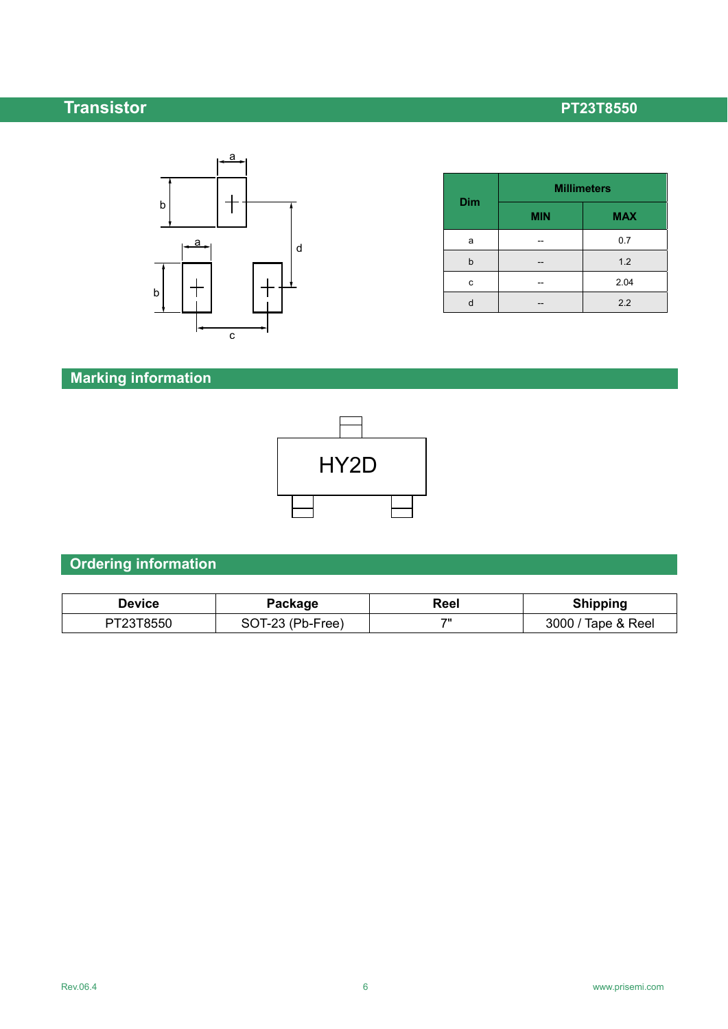

| <b>Dim</b> | <b>Millimeters</b> |            |  |  |
|------------|--------------------|------------|--|--|
|            | <b>MIN</b>         | <b>MAX</b> |  |  |
| a          |                    | 0.7        |  |  |
| b          |                    | 1.2        |  |  |
| с          |                    | 2.04       |  |  |
|            |                    | 2.2        |  |  |

# **Marking information**



# **Ordering information**

| Device    | Package          | Reel | <b>Shipping</b>    |
|-----------|------------------|------|--------------------|
| PT23T8550 | SOT-23 (Pb-Free) | 70   | 3000 / Tape & Reel |